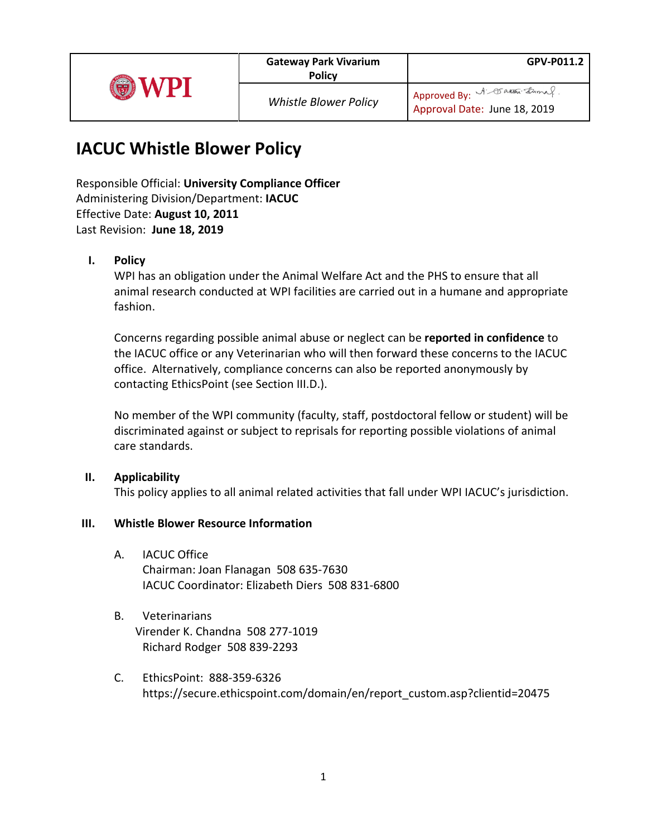|--|

# **IACUC Whistle Blower Policy**

Responsible Official: **University Compliance Officer** Administering Division/Department: **IACUC** Effective Date: **August 10, 2011** Last Revision: **June 18, 2019**

## **I. Policy**

WPI has an obligation under the Animal Welfare Act and the PHS to ensure that all animal research conducted at WPI facilities are carried out in a humane and appropriate fashion.

Concerns regarding possible animal abuse or neglect can be **reported in confidence** to the IACUC office or any Veterinarian who will then forward these concerns to the IACUC office. Alternatively, compliance concerns can also be reported anonymously by contacting EthicsPoint (see Section III.D.).

No member of the WPI community (faculty, staff, postdoctoral fellow or student) will be discriminated against or subject to reprisals for reporting possible violations of animal care standards.

#### **II. Applicability**

This policy applies to all animal related activities that fall under WPI IACUC's jurisdiction.

### **III. Whistle Blower Resource Information**

- A. IACUC Office Chairman: Joan Flanagan 508 635-7630 IACUC Coordinator: Elizabeth Diers 508 831-6800
- B. Veterinarians Virender K. Chandna 508 277-1019 Richard Rodger 508 839-2293
- C. EthicsPoint: 888-359-6326 https://secure.ethicspoint.com/domain/en/report\_custom.asp?clientid=20475